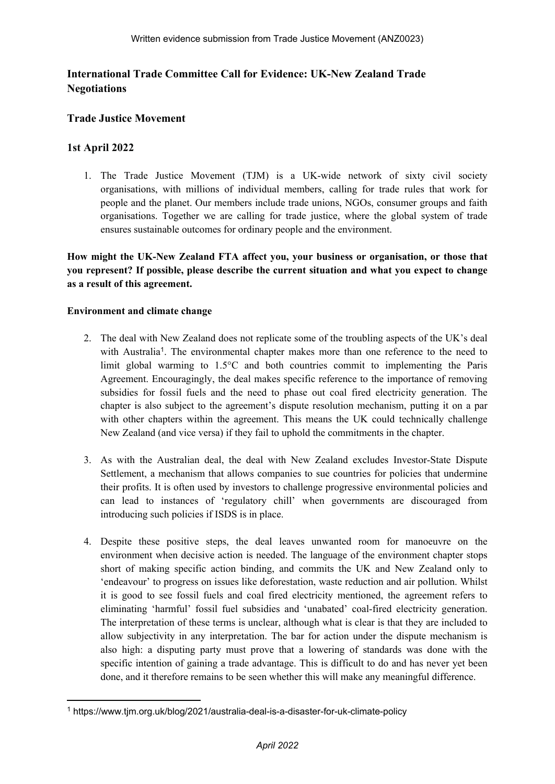# **International Trade Committee Call for Evidence: UK-New Zealand Trade Negotiations**

## **Trade Justice Movement**

## **1st April 2022**

1. The Trade Justice Movement (TJM) is a UK-wide network of sixty civil society organisations, with millions of individual members, calling for trade rules that work for people and the planet. Our members include trade unions, NGOs, consumer groups and faith organisations. Together we are calling for trade justice, where the global system of trade ensures sustainable outcomes for ordinary people and the environment.

**How might the UK-New Zealand FTA affect you, your business or organisation, or those that you represent? If possible, please describe the current situation and what you expect to change as a result of this agreement.**

### **Environment and climate change**

- 2. The deal with New Zealand does not replicate some of the troubling aspects of the UK's deal with Australia<sup>1</sup>. The environmental chapter makes more than one reference to the need to limit global warming to 1.5°C and both countries commit to implementing the Paris Agreement. Encouragingly, the deal makes specific reference to the importance of removing subsidies for fossil fuels and the need to phase out coal fired electricity generation. The chapter is also subject to the agreement's dispute resolution mechanism, putting it on a par with other chapters within the agreement. This means the UK could technically challenge New Zealand (and vice versa) if they fail to uphold the commitments in the chapter.
- 3. As with the Australian deal, the deal with New Zealand excludes Investor-State Dispute Settlement, a mechanism that allows companies to sue countries for policies that undermine their profits. It is often used by investors to challenge progressive environmental policies and can lead to instances of 'regulatory chill' when governments are discouraged from introducing such policies if ISDS is in place.
- 4. Despite these positive steps, the deal leaves unwanted room for manoeuvre on the environment when decisive action is needed. The language of the environment chapter stops short of making specific action binding, and commits the UK and New Zealand only to 'endeavour' to progress on issues like deforestation, waste reduction and air pollution. Whilst it is good to see fossil fuels and coal fired electricity mentioned, the agreement refers to eliminating 'harmful' fossil fuel subsidies and 'unabated' coal-fired electricity generation. The interpretation of these terms is unclear, although what is clear is that they are included to allow subjectivity in any interpretation. The bar for action under the dispute mechanism is also high: a disputing party must prove that a lowering of standards was done with the specific intention of gaining a trade advantage. This is difficult to do and has never yet been done, and it therefore remains to be seen whether this will make any meaningful difference.

<sup>1</sup> https://www.tjm.org.uk/blog/2021/australia-deal-is-a-disaster-for-uk-climate-policy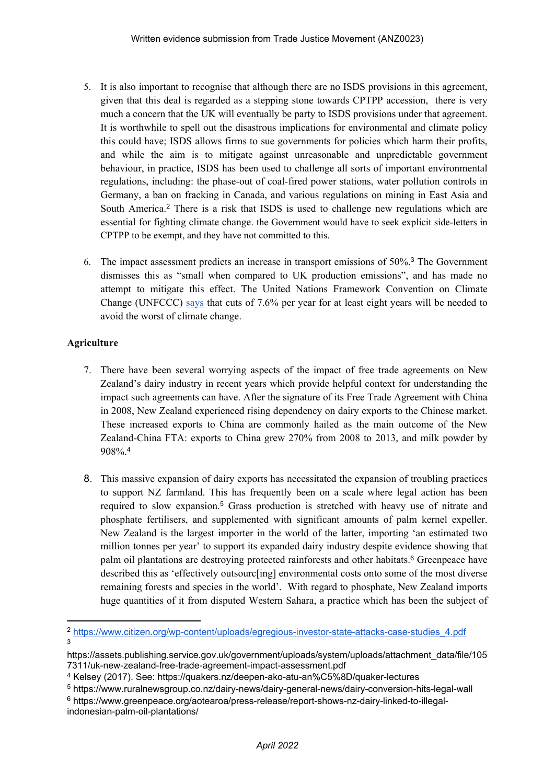- 5. It is also important to recognise that although there are no ISDS provisions in this agreement, given that this deal is regarded as a stepping stone towards CPTPP accession, there is very much a concern that the UK will eventually be party to ISDS provisions under that agreement. It is worthwhile to spell out the disastrous implications for environmental and climate policy this could have; ISDS allows firms to sue governments for policies which harm their profits, and while the aim is to mitigate against unreasonable and unpredictable government behaviour, in practice, ISDS has been used to challenge all sorts of important environmental regulations, including: the phase-out of coal-fired power stations, water pollution controls in Germany, a ban on fracking in Canada, and various regulations on mining in East Asia and South America.<sup>2</sup> There is a risk that ISDS is used to challenge new regulations which are essential for fighting climate change. the Government would have to seek explicit side-letters in CPTPP to be exempt, and they have not committed to this.
- 6. The impact assessment predicts an increase in transport emissions of 50%.<sup>3</sup> The Government dismisses this as "small when compared to UK production emissions", and has made no attempt to mitigate this effect. The United Nations Framework Convention on Climate Change (UNFCCC) [says](https://unfccc.int/news/cut-global-emissions-by-76-percent-every-year-for-next-decade-to-meet-15degc-paris-target-un-report) that cuts of 7.6% per year for at least eight years will be needed to avoid the worst of climate change.

### **Agriculture**

- 7. There have been several worrying aspects of the impact of free trade agreements on New Zealand's dairy industry in recent years which provide helpful context for understanding the impact such agreements can have. After the signature of its Free Trade Agreement with China in 2008, New Zealand experienced rising dependency on dairy exports to the Chinese market. These increased exports to China are commonly hailed as the main outcome of the New Zealand-China FTA: exports to China grew 270% from 2008 to 2013, and milk powder by 908%.<sup>4</sup>
- 8. This massive expansion of dairy exports has necessitated the expansion of troubling practices to support NZ farmland. This has frequently been on a scale where legal action has been required to slow expansion.<sup>5</sup> Grass production is stretched with heavy use of nitrate and phosphate fertilisers, and supplemented with significant amounts of palm kernel expeller. New Zealand is the largest importer in the world of the latter, importing 'an estimated two million tonnes per year' to support its expanded dairy industry despite evidence showing that palm oil plantations are destroying protected rainforests and other habitats.<sup>6</sup> Greenpeace have described this as 'effectively outsourc[ing] environmental costs onto some of the most diverse remaining forests and species in the world'. With regard to phosphate, New Zealand imports huge quantities of it from disputed Western Sahara, a practice which has been the subject of

<sup>2</sup> [https://www.citizen.org/wp-content/uploads/egregious-investor-state-attacks-case-studies\\_4.pdf](https://www.citizen.org/wp-content/uploads/egregious-investor-state-attacks-case-studies_4.pdf) 3

https://assets.publishing.service.gov.uk/government/uploads/system/uploads/attachment\_data/file/105 7311/uk-new-zealand-free-trade-agreement-impact-assessment.pdf

<sup>4</sup> Kelsey (2017). See: https://quakers.nz/deepen-ako-atu-an%C5%8D/quaker-lectures

<sup>5</sup> https://www.ruralnewsgroup.co.nz/dairy-news/dairy-general-news/dairy-conversion-hits-legal-wall

<sup>6</sup> https://www.greenpeace.org/aotearoa/press-release/report-shows-nz-dairy-linked-to-illegalindonesian-palm-oil-plantations/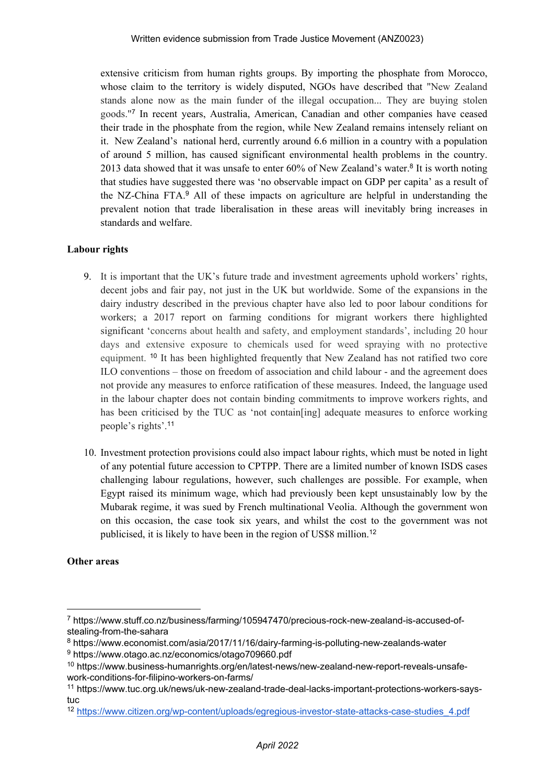extensive criticism from human rights groups. By importing the phosphate from Morocco, whose claim to the territory is widely disputed, NGOs have described that "New Zealand stands alone now as the main funder of the illegal occupation... They are buying stolen goods."<sup>7</sup> In recent years, Australia, American, Canadian and other companies have ceased their trade in the phosphate from the region, while New Zealand remains intensely reliant on it. New Zealand's national herd, currently around 6.6 million in a country with a population of around 5 million, has caused significant environmental health problems in the country. 2013 data showed that it was unsafe to enter 60% of New Zealand's water.<sup>8</sup> It is worth noting that studies have suggested there was 'no observable impact on GDP per capita' as a result of the NZ-China FTA.<sup>9</sup> All of these impacts on agriculture are helpful in understanding the prevalent notion that trade liberalisation in these areas will inevitably bring increases in standards and welfare.

#### **Labour rights**

- 9. It is important that the UK's future trade and investment agreements uphold workers' rights, decent jobs and fair pay, not just in the UK but worldwide. Some of the expansions in the dairy industry described in the previous chapter have also led to poor labour conditions for workers; a 2017 report on farming conditions for migrant workers there highlighted significant 'concerns about health and safety, and employment standards', including 20 hour days and extensive exposure to chemicals used for weed spraying with no protective equipment. <sup>10</sup> It has been highlighted frequently that New Zealand has not ratified two core ILO conventions – those on freedom of association and child labour - and the agreement does not provide any measures to enforce ratification of these measures. Indeed, the language used in the labour chapter does not contain binding commitments to improve workers rights, and has been criticised by the TUC as 'not contain[ing] adequate measures to enforce working people's rights'.<sup>11</sup>
- 10. Investment protection provisions could also impact labour rights, which must be noted in light of any potential future accession to CPTPP. There are a limited number of known ISDS cases challenging labour regulations, however, such challenges are possible. For example, when Egypt raised its minimum wage, which had previously been kept unsustainably low by the Mubarak regime, it was sued by French multinational Veolia. Although the government won on this occasion, the case took six years, and whilst the cost to the government was not publicised, it is likely to have been in the region of US\$8 million.<sup>12</sup>

#### **Other areas**

<sup>7</sup> https://www.stuff.co.nz/business/farming/105947470/precious-rock-new-zealand-is-accused-ofstealing-from-the-sahara

<sup>8</sup> https://www.economist.com/asia/2017/11/16/dairy-farming-is-polluting-new-zealands-water <sup>9</sup> https://www.otago.ac.nz/economics/otago709660.pdf

<sup>10</sup> https://www.business-humanrights.org/en/latest-news/new-zealand-new-report-reveals-unsafework-conditions-for-filipino-workers-on-farms/

<sup>11</sup> https://www.tuc.org.uk/news/uk-new-zealand-trade-deal-lacks-important-protections-workers-saystuc

<sup>12</sup> [https://www.citizen.org/wp-content/uploads/egregious-investor-state-attacks-case-studies\\_4.pdf](https://www.citizen.org/wp-content/uploads/egregious-investor-state-attacks-case-studies_4.pdf)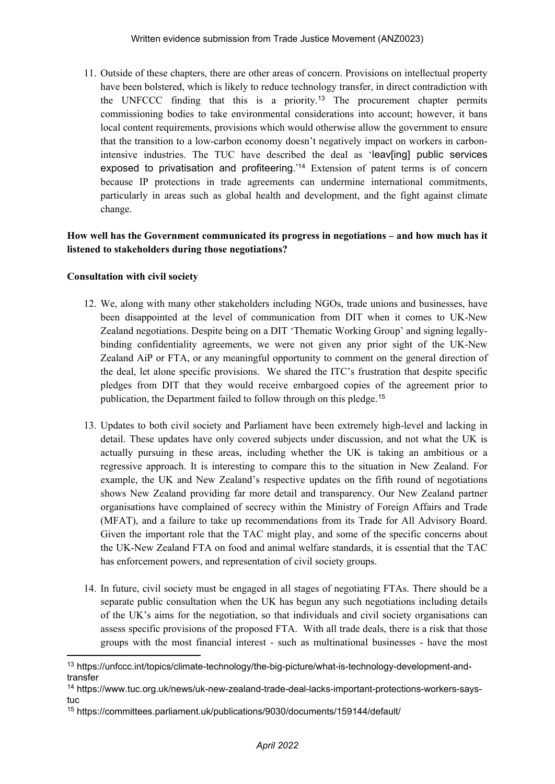11. Outside of these chapters, there are other areas of concern. Provisions on intellectual property have been bolstered, which is likely to reduce technology transfer, in direct contradiction with the UNFCCC finding that this is a priority.<sup>13</sup> The procurement chapter permits commissioning bodies to take environmental considerations into account; however, it bans local content requirements, provisions which would otherwise allow the government to ensure that the transition to a low-carbon economy doesn't negatively impact on workers in carbonintensive industries. The TUC have described the deal as 'leav[ing] public services exposed to privatisation and profiteering.'<sup>14</sup> Extension of patent terms is of concern because IP protections in trade agreements can undermine international commitments, particularly in areas such as global health and development, and the fight against climate change.

### **How well has the Government communicated its progress in negotiations – and how much has it listened to stakeholders during those negotiations?**

#### **Consultation with civil society**

- 12. We, along with many other stakeholders including NGOs, trade unions and businesses, have been disappointed at the level of communication from DIT when it comes to UK-New Zealand negotiations. Despite being on a DIT 'Thematic Working Group' and signing legallybinding confidentiality agreements, we were not given any prior sight of the UK-New Zealand AiP or FTA, or any meaningful opportunity to comment on the general direction of the deal, let alone specific provisions. We shared the ITC's frustration that despite specific pledges from DIT that they would receive embargoed copies of the agreement prior to publication, the Department failed to follow through on this pledge.<sup>15</sup>
- 13. Updates to both civil society and Parliament have been extremely high-level and lacking in detail. These updates have only covered subjects under discussion, and not what the UK is actually pursuing in these areas, including whether the UK is taking an ambitious or a regressive approach. It is interesting to compare this to the situation in New Zealand. For example, the UK and New Zealand's respective updates on the fifth round of negotiations shows New Zealand providing far more detail and transparency. Our New Zealand partner organisations have complained of secrecy within the Ministry of Foreign Affairs and Trade (MFAT), and a failure to take up recommendations from its Trade for All Advisory Board. Given the important role that the TAC might play, and some of the specific concerns about the UK-New Zealand FTA on food and animal welfare standards, it is essential that the TAC has enforcement powers, and representation of civil society groups.
- 14. In future, civil society must be engaged in all stages of negotiating FTAs. There should be a separate public consultation when the UK has begun any such negotiations including details of the UK's aims for the negotiation, so that individuals and civil society organisations can assess specific provisions of the proposed FTA. With all trade deals, there is a risk that those groups with the most financial interest - such as multinational businesses - have the most

<sup>13</sup> https://unfccc.int/topics/climate-technology/the-big-picture/what-is-technology-development-andtransfer

<sup>14</sup> https://www.tuc.org.uk/news/uk-new-zealand-trade-deal-lacks-important-protections-workers-saystuc

<sup>15</sup> https://committees.parliament.uk/publications/9030/documents/159144/default/